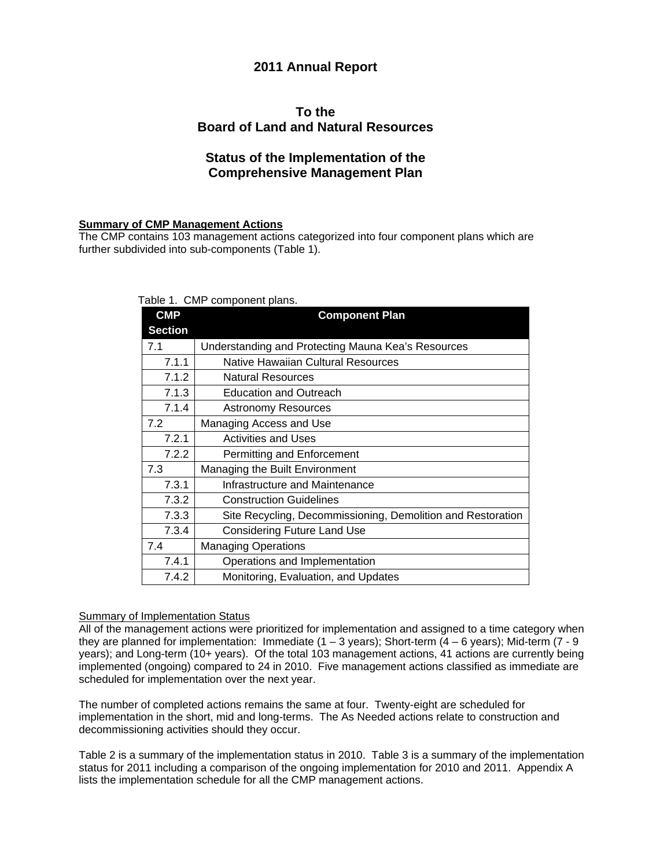# **2011 Annual Report**

### **To the Board of Land and Natural Resources**

## **Status of the Implementation of the Comprehensive Management Plan**

#### **Summary of CMP Management Actions**

The CMP contains 103 management actions categorized into four component plans which are further subdivided into sub-components (Table 1).

#### Table 1. CMP component plans.

| <b>CMP</b>     | <b>Component Plan</b>                                       |
|----------------|-------------------------------------------------------------|
| <b>Section</b> |                                                             |
| 7.1            | Understanding and Protecting Mauna Kea's Resources          |
| 7.1.1          | Native Hawaiian Cultural Resources                          |
| 7.1.2          | <b>Natural Resources</b>                                    |
| 7.1.3          | <b>Education and Outreach</b>                               |
| 7.1.4          | <b>Astronomy Resources</b>                                  |
| 7.2            | Managing Access and Use                                     |
| 7.2.1          | <b>Activities and Uses</b>                                  |
| 7.2.2          | Permitting and Enforcement                                  |
| 7.3            | Managing the Built Environment                              |
| 7.3.1          | Infrastructure and Maintenance                              |
| 7.3.2          | <b>Construction Guidelines</b>                              |
| 7.3.3          | Site Recycling, Decommissioning, Demolition and Restoration |
| 7.3.4          | <b>Considering Future Land Use</b>                          |
| 7.4            | <b>Managing Operations</b>                                  |
| 7.4.1          | Operations and Implementation                               |
| 7.4.2          | Monitoring, Evaluation, and Updates                         |

#### Summary of Implementation Status

All of the management actions were prioritized for implementation and assigned to a time category when they are planned for implementation: Immediate  $(1 - 3 \text{ years})$ ; Short-term  $(4 - 6 \text{ years})$ ; Mid-term  $(7 - 9 \text{ years})$ years); and Long-term (10+ years). Of the total 103 management actions, 41 actions are currently being implemented (ongoing) compared to 24 in 2010. Five management actions classified as immediate are scheduled for implementation over the next year.

The number of completed actions remains the same at four. Twenty-eight are scheduled for implementation in the short, mid and long-terms. The As Needed actions relate to construction and decommissioning activities should they occur.

Table 2 is a summary of the implementation status in 2010. Table 3 is a summary of the implementation status for 2011 including a comparison of the ongoing implementation for 2010 and 2011. Appendix A lists the implementation schedule for all the CMP management actions.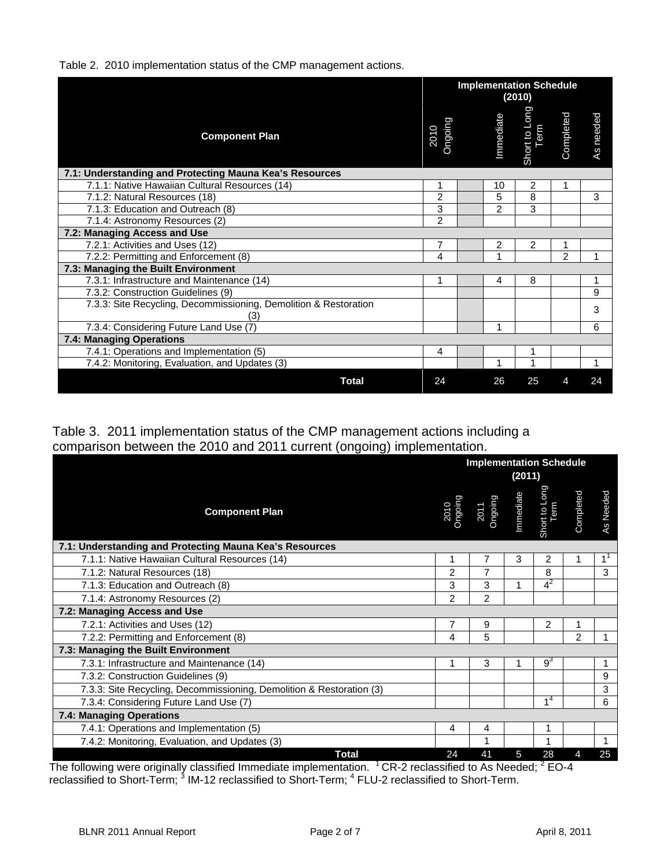Table 2. 2010 implementation status of the CMP management actions.

|                                                                         | <b>Implementation Schedule</b><br>(2010) |  |           |                       |                |           |
|-------------------------------------------------------------------------|------------------------------------------|--|-----------|-----------------------|----------------|-----------|
| <b>Component Plan</b>                                                   | Ongoing<br>2010                          |  | Immediate | Short to Long<br>Term | Completed      | As needed |
| 7.1: Understanding and Protecting Mauna Kea's Resources                 |                                          |  |           |                       |                |           |
| 7.1.1: Native Hawaiian Cultural Resources (14)                          |                                          |  | 10        | 2                     | 1              |           |
| 7.1.2: Natural Resources (18)                                           | $\overline{2}$                           |  | 5         | 8                     |                | 3         |
| $7.1.3$ : Education and Outreach (8)                                    | 3                                        |  | 2         | 3                     |                |           |
| 7.1.4: Astronomy Resources (2)                                          | $\overline{2}$                           |  |           |                       |                |           |
| 7.2: Managing Access and Use                                            |                                          |  |           |                       |                |           |
| 7.2.1: Activities and Uses (12)                                         | 7                                        |  | 2         | 2                     |                |           |
| 7.2.2: Permitting and Enforcement (8)                                   | 4                                        |  | 4         |                       | $\overline{2}$ |           |
| 7.3: Managing the Built Environment                                     |                                          |  |           |                       |                |           |
| 7.3.1: Infrastructure and Maintenance (14)                              | 1                                        |  | 4         | 8                     |                |           |
| 7.3.2: Construction Guidelines (9)                                      |                                          |  |           |                       |                | 9         |
| 7.3.3: Site Recycling, Decommissioning, Demolition & Restoration<br>(3) |                                          |  |           |                       |                | 3         |
| 7.3.4: Considering Future Land Use (7)                                  |                                          |  | 1         |                       |                | 6         |
| 7.4: Managing Operations                                                |                                          |  |           |                       |                |           |
| 7.4.1: Operations and Implementation (5)                                | 4                                        |  |           |                       |                |           |
| 7.4.2: Monitoring, Evaluation, and Updates (3)                          |                                          |  | 1         | 1                     |                |           |
| <b>Total</b>                                                            | 24                                       |  | 26        | 25                    |                | 24        |

Table 3. 2011 implementation status of the CMP management actions including a comparison between the 2010 and 2011 current (ongoing) implementation.

|                                                                      | <b>Implementation Schedule</b><br>(2011) |                              |   |                       |                |           |
|----------------------------------------------------------------------|------------------------------------------|------------------------------|---|-----------------------|----------------|-----------|
| <b>Component Plan</b>                                                | 2010<br>Ongoing                          | 2011<br>Ongoing<br>Immediate |   | Short to Long<br>Term | Completed      | As Needed |
| 7.1: Understanding and Protecting Mauna Kea's Resources              |                                          |                              |   |                       |                |           |
| 7.1.1: Native Hawaiian Cultural Resources (14)                       |                                          | 7                            | 3 | 2                     |                | $1^1$     |
| 7.1.2: Natural Resources (18)                                        | $\mathcal{P}$                            | 7                            |   | 8                     |                | 3         |
| 7.1.3: Education and Outreach (8)                                    | 3                                        | 3                            | 1 | $4^2$                 |                |           |
| 7.1.4: Astronomy Resources (2)                                       | 2                                        | 2                            |   |                       |                |           |
| 7.2: Managing Access and Use                                         |                                          |                              |   |                       |                |           |
| 7.2.1: Activities and Uses (12)                                      |                                          | 9                            |   | 2                     |                |           |
| 7.2.2: Permitting and Enforcement (8)                                | 4                                        | 5                            |   |                       | $\overline{2}$ |           |
| 7.3: Managing the Built Environment                                  |                                          |                              |   |                       |                |           |
| 7.3.1: Infrastructure and Maintenance (14)                           |                                          | 3                            |   | $9^3$                 |                |           |
| 7.3.2: Construction Guidelines (9)                                   |                                          |                              |   |                       |                | 9         |
| 7.3.3: Site Recycling, Decommissioning, Demolition & Restoration (3) |                                          |                              |   |                       |                | 3         |
| 7.3.4: Considering Future Land Use (7)                               |                                          |                              |   | 1 <sup>4</sup>        |                | 6         |
| 7.4: Managing Operations                                             |                                          |                              |   |                       |                |           |
| 7.4.1: Operations and Implementation (5)                             | 4                                        | 4                            |   |                       |                |           |
| 7.4.2: Monitoring, Evaluation, and Updates (3)                       |                                          | 1                            |   | 1                     |                |           |
| Total                                                                | 24                                       | 41                           | 5 | 28                    | 4              | 25        |

The following were originally classified Immediate implementation.  $1$ CR-2 reclassified to As Needed;  $2$  EO-4 reclassified to Short-Term; <sup>3</sup> IM-12 reclassified to Short-Term; <sup>4</sup> FLU-2 reclassified to Short-Term.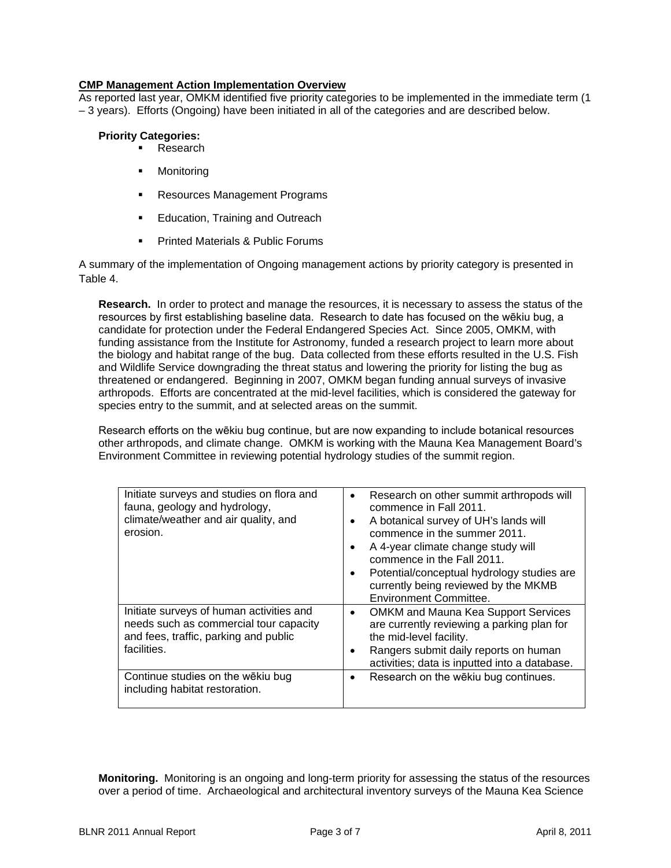#### **CMP Management Action Implementation Overview**

As reported last year, OMKM identified five priority categories to be implemented in the immediate term (1 – 3 years). Efforts (Ongoing) have been initiated in all of the categories and are described below.

### **Priority Categories:**

- Research
- Monitoring
- Resources Management Programs
- **Education, Training and Outreach**
- **Printed Materials & Public Forums**

A summary of the implementation of Ongoing management actions by priority category is presented in Table 4.

**Research.** In order to protect and manage the resources, it is necessary to assess the status of the resources by first establishing baseline data. Research to date has focused on the wēkiu bug, a candidate for protection under the Federal Endangered Species Act. Since 2005, OMKM, with funding assistance from the Institute for Astronomy, funded a research project to learn more about the biology and habitat range of the bug. Data collected from these efforts resulted in the U.S. Fish and Wildlife Service downgrading the threat status and lowering the priority for listing the bug as threatened or endangered. Beginning in 2007, OMKM began funding annual surveys of invasive arthropods. Efforts are concentrated at the mid-level facilities, which is considered the gateway for species entry to the summit, and at selected areas on the summit.

Research efforts on the wēkiu bug continue, but are now expanding to include botanical resources other arthropods, and climate change. OMKM is working with the Mauna Kea Management Board's Environment Committee in reviewing potential hydrology studies of the summit region.

| Initiate surveys and studies on flora and<br>fauna, geology and hydrology,<br>climate/weather and air quality, and<br>erosion.             | Research on other summit arthropods will<br>$\bullet$<br>commence in Fall 2011.<br>A botanical survey of UH's lands will<br>$\bullet$<br>commence in the summer 2011.<br>A 4-year climate change study will<br>٠<br>commence in the Fall 2011.<br>Potential/conceptual hydrology studies are<br>$\bullet$<br>currently being reviewed by the MKMB<br><b>Environment Committee.</b> |
|--------------------------------------------------------------------------------------------------------------------------------------------|------------------------------------------------------------------------------------------------------------------------------------------------------------------------------------------------------------------------------------------------------------------------------------------------------------------------------------------------------------------------------------|
| Initiate surveys of human activities and<br>needs such as commercial tour capacity<br>and fees, traffic, parking and public<br>facilities. | <b>OMKM and Mauna Kea Support Services</b><br>$\bullet$<br>are currently reviewing a parking plan for<br>the mid-level facility.<br>Rangers submit daily reports on human<br>$\bullet$<br>activities; data is inputted into a database.                                                                                                                                            |
| Continue studies on the wekiu bug<br>including habitat restoration.                                                                        | Research on the wekiu bug continues.<br>٠                                                                                                                                                                                                                                                                                                                                          |

**Monitoring.** Monitoring is an ongoing and long-term priority for assessing the status of the resources over a period of time. Archaeological and architectural inventory surveys of the Mauna Kea Science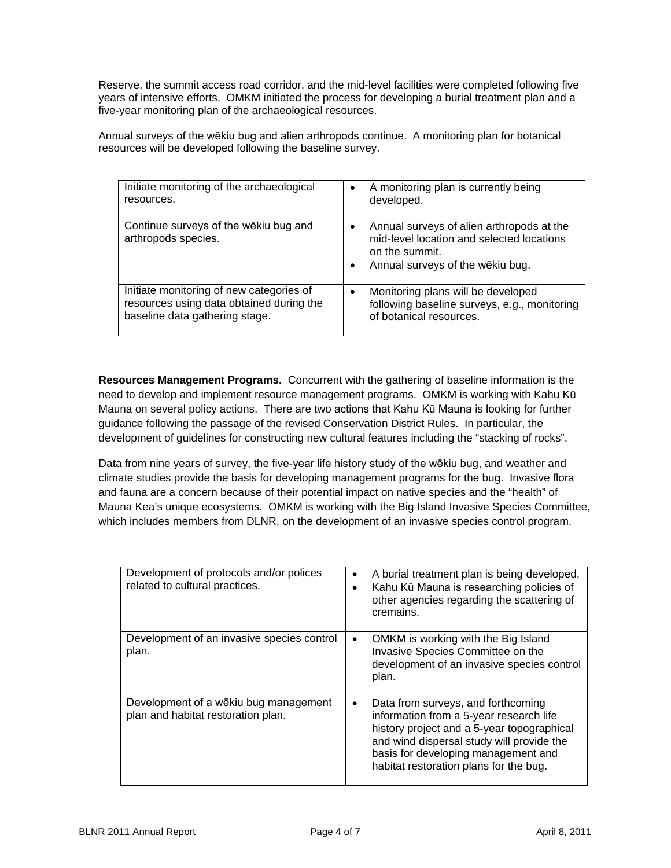Reserve, the summit access road corridor, and the mid-level facilities were completed following five years of intensive efforts. OMKM initiated the process for developing a burial treatment plan and a five-year monitoring plan of the archaeological resources.

Annual surveys of the wēkiu bug and alien arthropods continue. A monitoring plan for botanical resources will be developed following the baseline survey.

| Initiate monitoring of the archaeological<br>resources.                                                                | A monitoring plan is currently being<br>developed.                                                                                                        |
|------------------------------------------------------------------------------------------------------------------------|-----------------------------------------------------------------------------------------------------------------------------------------------------------|
| Continue surveys of the wekiu bug and<br>arthropods species.                                                           | Annual surveys of alien arthropods at the<br>$\bullet$<br>mid-level location and selected locations<br>on the summit.<br>Annual surveys of the wekiu bug. |
| Initiate monitoring of new categories of<br>resources using data obtained during the<br>baseline data gathering stage. | Monitoring plans will be developed<br>following baseline surveys, e.g., monitoring<br>of botanical resources.                                             |

**Resources Management Programs.** Concurrent with the gathering of baseline information is the need to develop and implement resource management programs. OMKM is working with Kahu Kū Mauna on several policy actions. There are two actions that Kahu Kū Mauna is looking for further guidance following the passage of the revised Conservation District Rules. In particular, the development of guidelines for constructing new cultural features including the "stacking of rocks".

Data from nine years of survey, the five-year life history study of the wēkiu bug, and weather and climate studies provide the basis for developing management programs for the bug. Invasive flora and fauna are a concern because of their potential impact on native species and the "health" of Mauna Kea's unique ecosystems. OMKM is working with the Big Island Invasive Species Committee, which includes members from DLNR, on the development of an invasive species control program.

| Development of protocols and/or polices<br>related to cultural practices.   | A burial treatment plan is being developed.<br>٠<br>Kahu Kū Mauna is researching policies of<br>$\bullet$<br>other agencies regarding the scattering of<br>cremains.                                                                                                   |
|-----------------------------------------------------------------------------|------------------------------------------------------------------------------------------------------------------------------------------------------------------------------------------------------------------------------------------------------------------------|
| Development of an invasive species control<br>plan.                         | OMKM is working with the Big Island<br>$\bullet$<br>Invasive Species Committee on the<br>development of an invasive species control<br>plan.                                                                                                                           |
| Development of a wekiu bug management<br>plan and habitat restoration plan. | Data from surveys, and forthcoming<br>$\bullet$<br>information from a 5-year research life<br>history project and a 5-year topographical<br>and wind dispersal study will provide the<br>basis for developing management and<br>habitat restoration plans for the bug. |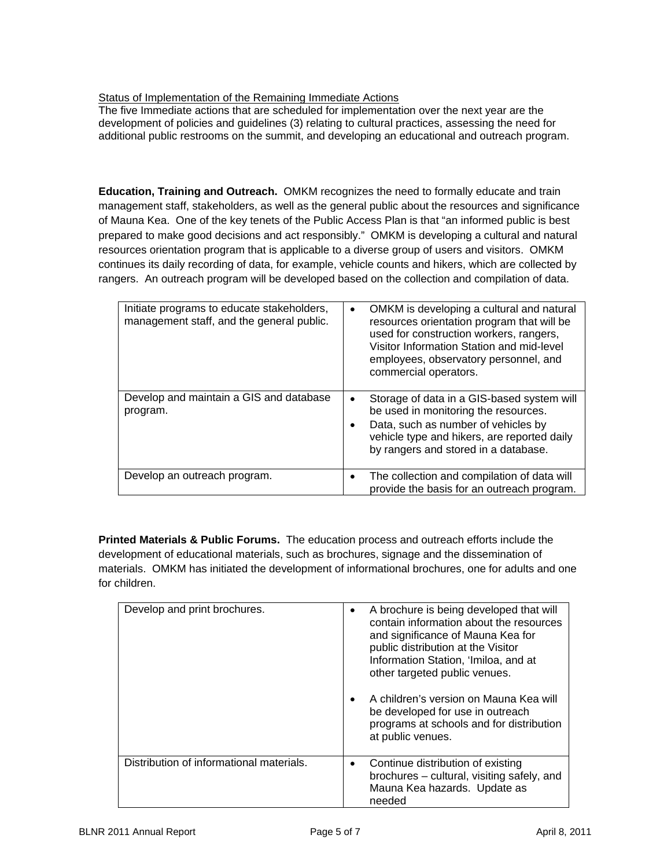Status of Implementation of the Remaining Immediate Actions

The five Immediate actions that are scheduled for implementation over the next year are the development of policies and guidelines (3) relating to cultural practices, assessing the need for additional public restrooms on the summit, and developing an educational and outreach program.

**Education, Training and Outreach.** OMKM recognizes the need to formally educate and train management staff, stakeholders, as well as the general public about the resources and significance of Mauna Kea. One of the key tenets of the Public Access Plan is that "an informed public is best prepared to make good decisions and act responsibly." OMKM is developing a cultural and natural resources orientation program that is applicable to a diverse group of users and visitors. OMKM continues its daily recording of data, for example, vehicle counts and hikers, which are collected by rangers. An outreach program will be developed based on the collection and compilation of data.

| Initiate programs to educate stakeholders,<br>management staff, and the general public. | OMKM is developing a cultural and natural<br>$\bullet$<br>resources orientation program that will be<br>used for construction workers, rangers,<br>Visitor Information Station and mid-level<br>employees, observatory personnel, and<br>commercial operators. |
|-----------------------------------------------------------------------------------------|----------------------------------------------------------------------------------------------------------------------------------------------------------------------------------------------------------------------------------------------------------------|
| Develop and maintain a GIS and database<br>program.                                     | Storage of data in a GIS-based system will<br>$\bullet$<br>be used in monitoring the resources.<br>Data, such as number of vehicles by<br>$\bullet$<br>vehicle type and hikers, are reported daily<br>by rangers and stored in a database.                     |
| Develop an outreach program.                                                            | The collection and compilation of data will<br>$\bullet$<br>provide the basis for an outreach program.                                                                                                                                                         |

**Printed Materials & Public Forums.** The education process and outreach efforts include the development of educational materials, such as brochures, signage and the dissemination of materials. OMKM has initiated the development of informational brochures, one for adults and one for children.

| Develop and print brochures.             | A brochure is being developed that will<br>$\bullet$<br>contain information about the resources<br>and significance of Mauna Kea for<br>public distribution at the Visitor<br>Information Station, 'Imiloa, and at<br>other targeted public venues.<br>A children's version on Mauna Kea will<br>be developed for use in outreach<br>programs at schools and for distribution<br>at public venues. |
|------------------------------------------|----------------------------------------------------------------------------------------------------------------------------------------------------------------------------------------------------------------------------------------------------------------------------------------------------------------------------------------------------------------------------------------------------|
| Distribution of informational materials. | Continue distribution of existing<br>brochures – cultural, visiting safely, and<br>Mauna Kea hazards. Update as<br>needed                                                                                                                                                                                                                                                                          |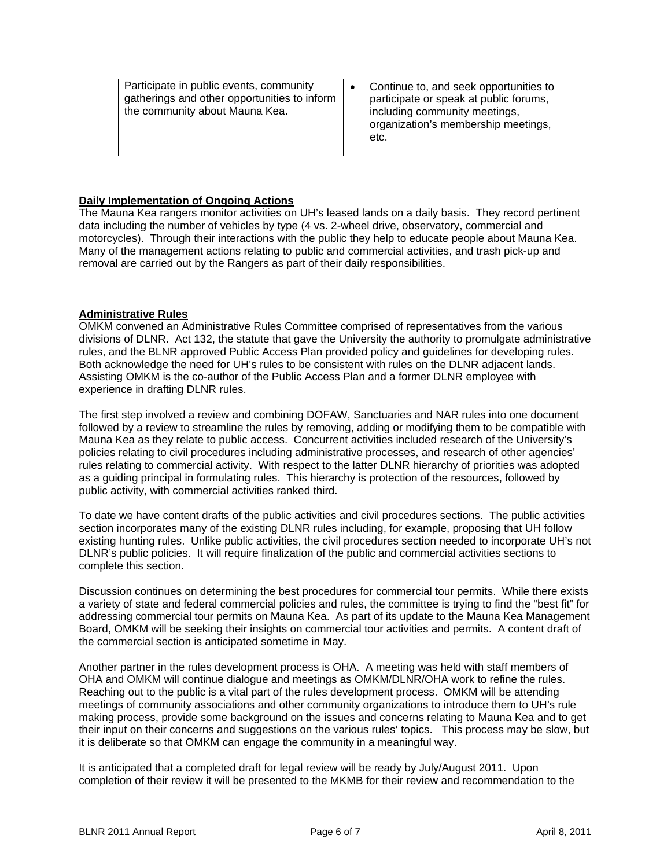| Participate in public events, community<br>gatherings and other opportunities to inform<br>the community about Mauna Kea. | Continue to, and seek opportunities to<br>participate or speak at public forums,<br>including community meetings,<br>organization's membership meetings,<br>etc. |
|---------------------------------------------------------------------------------------------------------------------------|------------------------------------------------------------------------------------------------------------------------------------------------------------------|
|---------------------------------------------------------------------------------------------------------------------------|------------------------------------------------------------------------------------------------------------------------------------------------------------------|

#### **Daily Implementation of Ongoing Actions**

The Mauna Kea rangers monitor activities on UH's leased lands on a daily basis. They record pertinent data including the number of vehicles by type (4 vs. 2-wheel drive, observatory, commercial and motorcycles). Through their interactions with the public they help to educate people about Mauna Kea. Many of the management actions relating to public and commercial activities, and trash pick-up and removal are carried out by the Rangers as part of their daily responsibilities.

#### **Administrative Rules**

OMKM convened an Administrative Rules Committee comprised of representatives from the various divisions of DLNR. Act 132, the statute that gave the University the authority to promulgate administrative rules, and the BLNR approved Public Access Plan provided policy and guidelines for developing rules. Both acknowledge the need for UH's rules to be consistent with rules on the DLNR adjacent lands. Assisting OMKM is the co-author of the Public Access Plan and a former DLNR employee with experience in drafting DLNR rules.

The first step involved a review and combining DOFAW, Sanctuaries and NAR rules into one document followed by a review to streamline the rules by removing, adding or modifying them to be compatible with Mauna Kea as they relate to public access. Concurrent activities included research of the University's policies relating to civil procedures including administrative processes, and research of other agencies' rules relating to commercial activity. With respect to the latter DLNR hierarchy of priorities was adopted as a guiding principal in formulating rules. This hierarchy is protection of the resources, followed by public activity, with commercial activities ranked third.

To date we have content drafts of the public activities and civil procedures sections. The public activities section incorporates many of the existing DLNR rules including, for example, proposing that UH follow existing hunting rules. Unlike public activities, the civil procedures section needed to incorporate UH's not DLNR's public policies. It will require finalization of the public and commercial activities sections to complete this section.

Discussion continues on determining the best procedures for commercial tour permits. While there exists a variety of state and federal commercial policies and rules, the committee is trying to find the "best fit" for addressing commercial tour permits on Mauna Kea. As part of its update to the Mauna Kea Management Board, OMKM will be seeking their insights on commercial tour activities and permits. A content draft of the commercial section is anticipated sometime in May.

Another partner in the rules development process is OHA. A meeting was held with staff members of OHA and OMKM will continue dialogue and meetings as OMKM/DLNR/OHA work to refine the rules. Reaching out to the public is a vital part of the rules development process. OMKM will be attending meetings of community associations and other community organizations to introduce them to UH's rule making process, provide some background on the issues and concerns relating to Mauna Kea and to get their input on their concerns and suggestions on the various rules' topics. This process may be slow, but it is deliberate so that OMKM can engage the community in a meaningful way.

It is anticipated that a completed draft for legal review will be ready by July/August 2011. Upon completion of their review it will be presented to the MKMB for their review and recommendation to the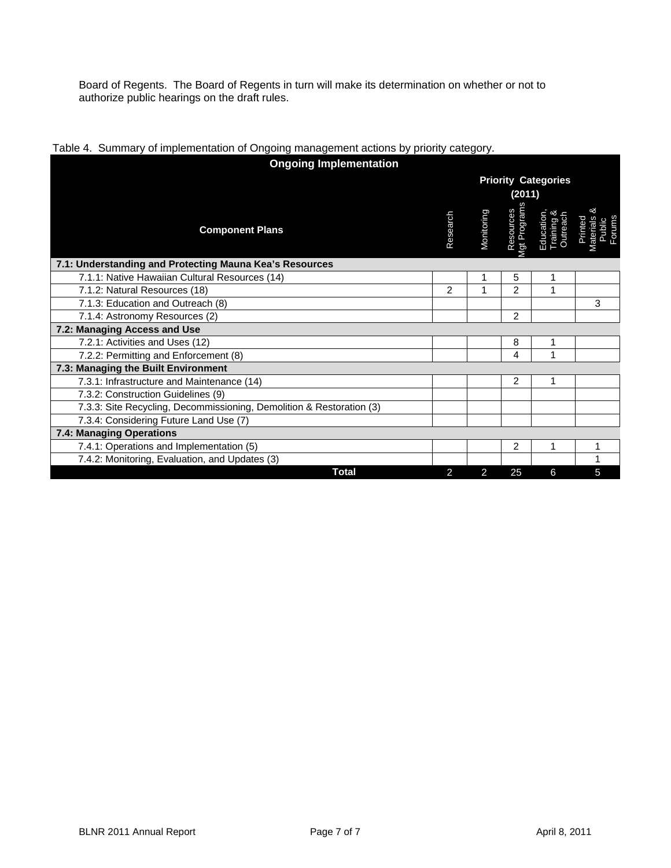Board of Regents. The Board of Regents in turn will make its determination on whether or not to authorize public hearings on the draft rules.

| <b>Ongoing Implementation</b>                                        |               |                                      |                           |                                      |                                          |
|----------------------------------------------------------------------|---------------|--------------------------------------|---------------------------|--------------------------------------|------------------------------------------|
|                                                                      |               | <b>Priority Categories</b><br>(2011) |                           |                                      |                                          |
| <b>Component Plans</b>                                               | Research      | Monitoring                           | Resources<br>Mgt Programs | Education,<br>Training &<br>Outreach | Printed<br>Materials<br>Public<br>Forums |
| 7.1: Understanding and Protecting Mauna Kea's Resources              |               |                                      |                           |                                      |                                          |
| 7.1.1: Native Hawaiian Cultural Resources (14)                       |               |                                      | 5                         | 1                                    |                                          |
| 7.1.2: Natural Resources (18)                                        | $\mathcal{P}$ | 1                                    | $\mathfrak{p}$            | 1                                    |                                          |
| 7.1.3: Education and Outreach (8)                                    |               |                                      |                           |                                      | 3                                        |
| 7.1.4: Astronomy Resources (2)                                       |               |                                      | $\overline{2}$            |                                      |                                          |
| 7.2: Managing Access and Use                                         |               |                                      |                           |                                      |                                          |
| 7.2.1: Activities and Uses (12)                                      |               |                                      | 8                         | 1                                    |                                          |
| 7.2.2: Permitting and Enforcement (8)                                |               |                                      | 4                         | 1                                    |                                          |
| 7.3: Managing the Built Environment                                  |               |                                      |                           |                                      |                                          |
| 7.3.1: Infrastructure and Maintenance (14)                           |               |                                      | $\overline{2}$            | 1                                    |                                          |
| 7.3.2: Construction Guidelines (9)                                   |               |                                      |                           |                                      |                                          |
| 7.3.3: Site Recycling, Decommissioning, Demolition & Restoration (3) |               |                                      |                           |                                      |                                          |
| 7.3.4: Considering Future Land Use (7)                               |               |                                      |                           |                                      |                                          |
| 7.4: Managing Operations                                             |               |                                      |                           |                                      |                                          |
| 7.4.1: Operations and Implementation (5)                             |               |                                      | 2                         |                                      |                                          |
| 7.4.2: Monitoring, Evaluation, and Updates (3)                       |               |                                      |                           |                                      |                                          |
| <b>Total</b>                                                         | 2             | 2                                    | 25                        | 6                                    | 5                                        |

# Table 4. Summary of implementation of Ongoing management actions by priority category.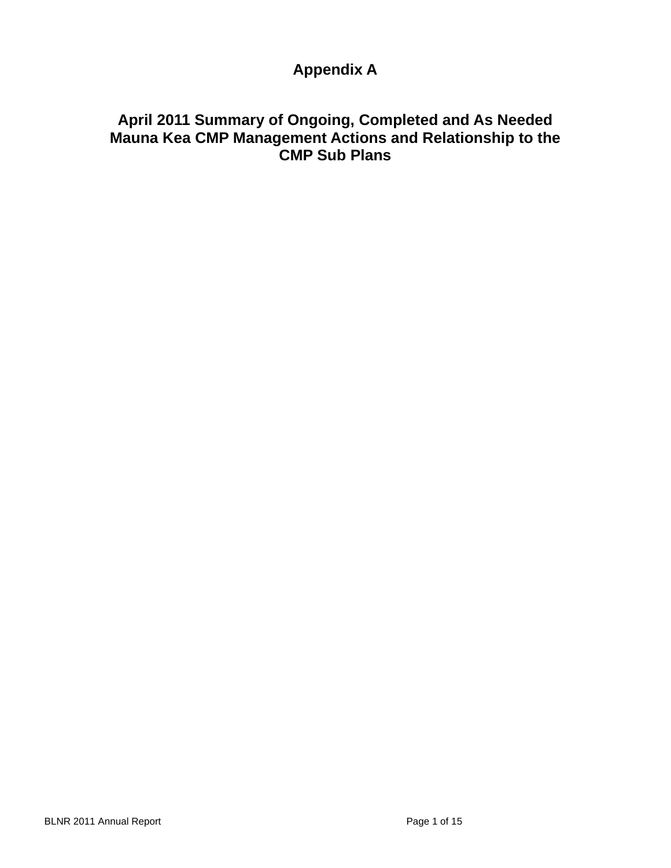# **Appendix A**

# **April 2011 Summary of Ongoing, Completed and As Needed Mauna Kea CMP Management Actions and Relationship to the CMP Sub Plans**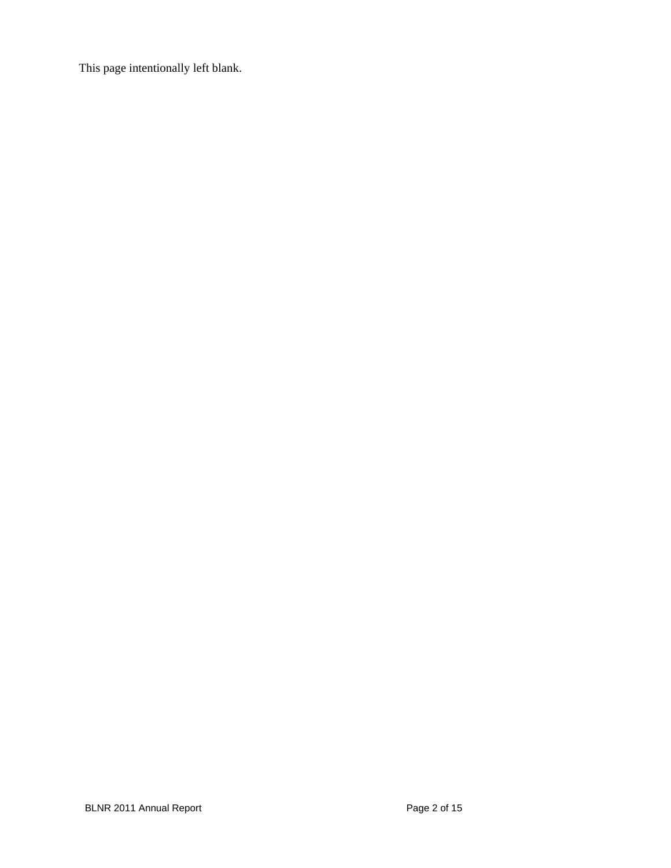This page intentionally left blank.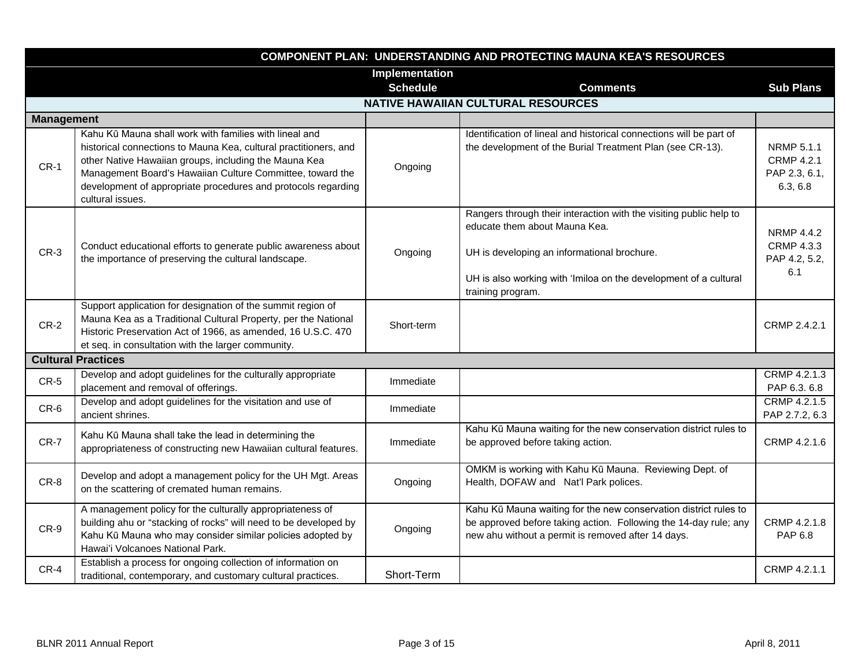|                   | <b>COMPONENT PLAN: UNDERSTANDING AND PROTECTING MAUNA KEA'S RESOURCES</b>                                                                                                                                                                                                                                                             |                 |                                                                                                                                                                                                                                             |                                                              |  |  |
|-------------------|---------------------------------------------------------------------------------------------------------------------------------------------------------------------------------------------------------------------------------------------------------------------------------------------------------------------------------------|-----------------|---------------------------------------------------------------------------------------------------------------------------------------------------------------------------------------------------------------------------------------------|--------------------------------------------------------------|--|--|
|                   |                                                                                                                                                                                                                                                                                                                                       | Implementation  |                                                                                                                                                                                                                                             |                                                              |  |  |
|                   |                                                                                                                                                                                                                                                                                                                                       | <b>Schedule</b> | <b>Comments</b>                                                                                                                                                                                                                             | <b>Sub Plans</b>                                             |  |  |
|                   |                                                                                                                                                                                                                                                                                                                                       |                 | <b>NATIVE HAWAIIAN CULTURAL RESOURCES</b>                                                                                                                                                                                                   |                                                              |  |  |
| <b>Management</b> |                                                                                                                                                                                                                                                                                                                                       |                 |                                                                                                                                                                                                                                             |                                                              |  |  |
| $CR-1$            | Kahu Kū Mauna shall work with families with lineal and<br>historical connections to Mauna Kea, cultural practitioners, and<br>other Native Hawaiian groups, including the Mauna Kea<br>Management Board's Hawaiian Culture Committee, toward the<br>development of appropriate procedures and protocols regarding<br>cultural issues. | Ongoing         | Identification of lineal and historical connections will be part of<br>the development of the Burial Treatment Plan (see CR-13).                                                                                                            | NRMP 5.1.1<br><b>CRMP 4.2.1</b><br>PAP 2.3, 6.1,<br>6.3, 6.8 |  |  |
| $CR-3$            | Conduct educational efforts to generate public awareness about<br>the importance of preserving the cultural landscape.                                                                                                                                                                                                                | Ongoing         | Rangers through their interaction with the visiting public help to<br>educate them about Mauna Kea.<br>UH is developing an informational brochure.<br>UH is also working with 'Imiloa on the development of a cultural<br>training program. | <b>NRMP 4.4.2</b><br>CRMP 4.3.3<br>PAP 4.2, 5.2,<br>6.1      |  |  |
| $CR-2$            | Support application for designation of the summit region of<br>Mauna Kea as a Traditional Cultural Property, per the National<br>Historic Preservation Act of 1966, as amended, 16 U.S.C. 470<br>et seq. in consultation with the larger community.                                                                                   | Short-term      |                                                                                                                                                                                                                                             | CRMP 2.4.2.1                                                 |  |  |
|                   | <b>Cultural Practices</b>                                                                                                                                                                                                                                                                                                             |                 |                                                                                                                                                                                                                                             |                                                              |  |  |
| $CR-5$            | Develop and adopt guidelines for the culturally appropriate<br>placement and removal of offerings.                                                                                                                                                                                                                                    | Immediate       |                                                                                                                                                                                                                                             | CRMP 4.2.1.3<br>PAP 6.3. 6.8                                 |  |  |
| CR-6              | Develop and adopt guidelines for the visitation and use of<br>ancient shrines.                                                                                                                                                                                                                                                        | Immediate       |                                                                                                                                                                                                                                             | CRMP 4.2.1.5<br>PAP 2.7.2, 6.3                               |  |  |
| $CR-7$            | Kahu Kū Mauna shall take the lead in determining the<br>appropriateness of constructing new Hawaiian cultural features.                                                                                                                                                                                                               | Immediate       | Kahu Kū Mauna waiting for the new conservation district rules to<br>be approved before taking action.                                                                                                                                       | CRMP 4.2.1.6                                                 |  |  |
| CR-8              | Develop and adopt a management policy for the UH Mgt. Areas<br>on the scattering of cremated human remains.                                                                                                                                                                                                                           | Ongoing         | OMKM is working with Kahu Kū Mauna. Reviewing Dept. of<br>Health, DOFAW and Nat'l Park polices.                                                                                                                                             |                                                              |  |  |
| CR-9              | A management policy for the culturally appropriateness of<br>building ahu or "stacking of rocks" will need to be developed by<br>Kahu Kū Mauna who may consider similar policies adopted by<br>Hawai'i Volcanoes National Park.                                                                                                       | Ongoing         | Kahu Kū Mauna waiting for the new conservation district rules to<br>be approved before taking action. Following the 14-day rule; any<br>new ahu without a permit is removed after 14 days.                                                  | CRMP 4.2.1.8<br><b>PAP 6.8</b>                               |  |  |
| $CR-4$            | Establish a process for ongoing collection of information on<br>traditional, contemporary, and customary cultural practices.                                                                                                                                                                                                          | Short-Term      |                                                                                                                                                                                                                                             | CRMP 4.2.1.1                                                 |  |  |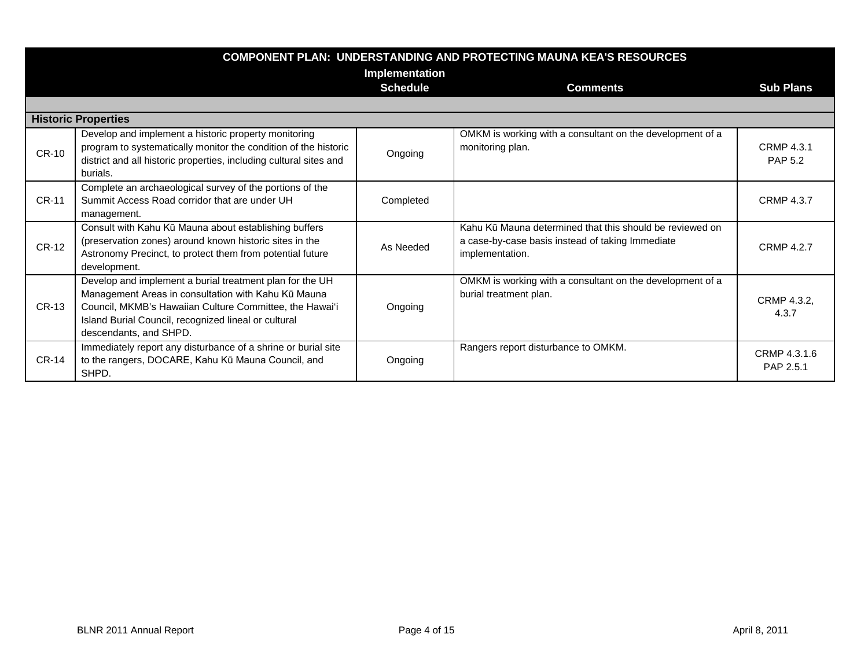|              | <b>COMPONENT PLAN: UNDERSTANDING AND PROTECTING MAUNA KEA'S RESOURCES</b>                                                                                                                                                                                    |                 |                                                                                                                                 |                                     |  |  |  |
|--------------|--------------------------------------------------------------------------------------------------------------------------------------------------------------------------------------------------------------------------------------------------------------|-----------------|---------------------------------------------------------------------------------------------------------------------------------|-------------------------------------|--|--|--|
|              | Implementation                                                                                                                                                                                                                                               |                 |                                                                                                                                 |                                     |  |  |  |
|              |                                                                                                                                                                                                                                                              | <b>Schedule</b> | <b>Comments</b>                                                                                                                 | <b>Sub Plans</b>                    |  |  |  |
|              | <b>Historic Properties</b>                                                                                                                                                                                                                                   |                 |                                                                                                                                 |                                     |  |  |  |
| <b>CR-10</b> | Develop and implement a historic property monitoring<br>program to systematically monitor the condition of the historic<br>district and all historic properties, including cultural sites and<br>burials.                                                    | Ongoing         | OMKM is working with a consultant on the development of a<br>monitoring plan.                                                   | <b>CRMP 4.3.1</b><br><b>PAP 5.2</b> |  |  |  |
| CR-11        | Complete an archaeological survey of the portions of the<br>Summit Access Road corridor that are under UH<br>management.                                                                                                                                     | Completed       |                                                                                                                                 | <b>CRMP 4.3.7</b>                   |  |  |  |
| <b>CR-12</b> | Consult with Kahu Kū Mauna about establishing buffers<br>(preservation zones) around known historic sites in the<br>Astronomy Precinct, to protect them from potential future<br>development.                                                                | As Needed       | Kahu Kū Mauna determined that this should be reviewed on<br>a case-by-case basis instead of taking Immediate<br>implementation. | <b>CRMP 4.2.7</b>                   |  |  |  |
| $CR-13$      | Develop and implement a burial treatment plan for the UH<br>Management Areas in consultation with Kahu Kū Mauna<br>Council, MKMB's Hawaiian Culture Committee, the Hawai'i<br>Island Burial Council, recognized lineal or cultural<br>descendants, and SHPD. | Ongoing         | OMKM is working with a consultant on the development of a<br>burial treatment plan.                                             | CRMP 4.3.2,<br>4.3.7                |  |  |  |
| <b>CR-14</b> | Immediately report any disturbance of a shrine or burial site<br>to the rangers, DOCARE, Kahu Kū Mauna Council, and<br>SHPD.                                                                                                                                 | Ongoing         | Rangers report disturbance to OMKM.                                                                                             | CRMP 4.3.1.6<br>PAP 2.5.1           |  |  |  |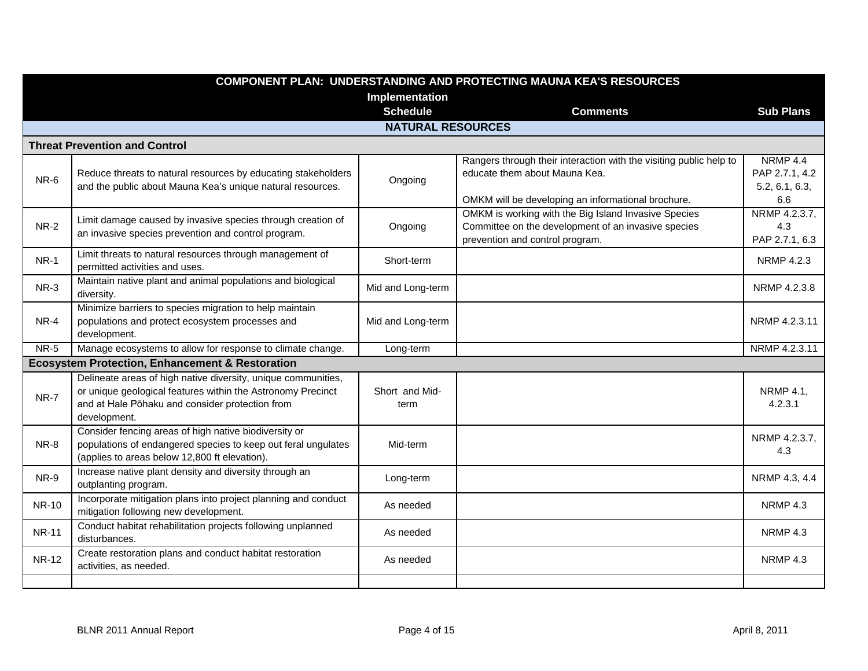| <b>COMPONENT PLAN: UNDERSTANDING AND PROTECTING MAUNA KEA'S RESOURCES</b> |                                                                                                                                                                                                 |                          |                                                                                                                                                           |                                                     |
|---------------------------------------------------------------------------|-------------------------------------------------------------------------------------------------------------------------------------------------------------------------------------------------|--------------------------|-----------------------------------------------------------------------------------------------------------------------------------------------------------|-----------------------------------------------------|
|                                                                           |                                                                                                                                                                                                 | Implementation           |                                                                                                                                                           |                                                     |
|                                                                           |                                                                                                                                                                                                 | <b>Schedule</b>          | <b>Comments</b>                                                                                                                                           | <b>Sub Plans</b>                                    |
|                                                                           |                                                                                                                                                                                                 | <b>NATURAL RESOURCES</b> |                                                                                                                                                           |                                                     |
|                                                                           | <b>Threat Prevention and Control</b>                                                                                                                                                            |                          |                                                                                                                                                           |                                                     |
| NR-6                                                                      | Reduce threats to natural resources by educating stakeholders<br>and the public about Mauna Kea's unique natural resources.                                                                     | Ongoing                  | Rangers through their interaction with the visiting public help to<br>educate them about Mauna Kea.<br>OMKM will be developing an informational brochure. | NRMP 4.4<br>PAP 2.7.1, 4.2<br>5.2, 6.1, 6.3,<br>6.6 |
| $NR-2$                                                                    | Limit damage caused by invasive species through creation of<br>an invasive species prevention and control program.                                                                              | Ongoing                  | OMKM is working with the Big Island Invasive Species<br>Committee on the development of an invasive species<br>prevention and control program.            | NRMP 4.2.3.7,<br>4.3<br>PAP 2.7.1, 6.3              |
| NR-1                                                                      | Limit threats to natural resources through management of<br>permitted activities and uses.                                                                                                      | Short-term               |                                                                                                                                                           | NRMP 4.2.3                                          |
| $NR-3$                                                                    | Maintain native plant and animal populations and biological<br>diversity.                                                                                                                       | Mid and Long-term        |                                                                                                                                                           | NRMP 4.2.3.8                                        |
| NR-4                                                                      | Minimize barriers to species migration to help maintain<br>populations and protect ecosystem processes and<br>development.                                                                      | Mid and Long-term        |                                                                                                                                                           | NRMP 4.2.3.11                                       |
| $NR-5$                                                                    | Manage ecosystems to allow for response to climate change.                                                                                                                                      | Long-term                |                                                                                                                                                           | NRMP 4.2.3.11                                       |
|                                                                           | <b>Ecosystem Protection, Enhancement &amp; Restoration</b>                                                                                                                                      |                          |                                                                                                                                                           |                                                     |
| NR-7                                                                      | Delineate areas of high native diversity, unique communities,<br>or unique geological features within the Astronomy Precinct<br>and at Hale Pōhaku and consider protection from<br>development. | Short and Mid-<br>term   |                                                                                                                                                           | <b>NRMP 4.1,</b><br>4.2.3.1                         |
| NR-8                                                                      | Consider fencing areas of high native biodiversity or<br>populations of endangered species to keep out feral ungulates<br>(applies to areas below 12,800 ft elevation).                         | Mid-term                 |                                                                                                                                                           | NRMP 4.2.3.7,<br>4.3                                |
| NR-9                                                                      | Increase native plant density and diversity through an<br>outplanting program.                                                                                                                  | Long-term                |                                                                                                                                                           | NRMP 4.3, 4.4                                       |
| <b>NR-10</b>                                                              | Incorporate mitigation plans into project planning and conduct<br>mitigation following new development.                                                                                         | As needed                |                                                                                                                                                           | NRMP 4.3                                            |
| <b>NR-11</b>                                                              | Conduct habitat rehabilitation projects following unplanned<br>disturbances.                                                                                                                    | As needed                |                                                                                                                                                           | <b>NRMP 4.3</b>                                     |
| <b>NR-12</b>                                                              | Create restoration plans and conduct habitat restoration<br>activities, as needed.                                                                                                              | As needed                |                                                                                                                                                           | NRMP 4.3                                            |
|                                                                           |                                                                                                                                                                                                 |                          |                                                                                                                                                           |                                                     |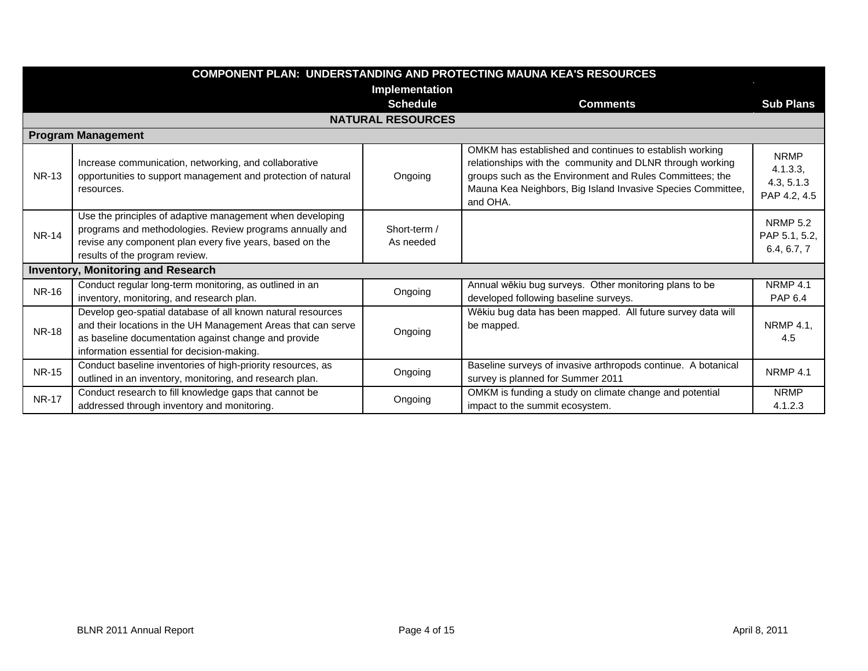| <b>COMPONENT PLAN: UNDERSTANDING AND PROTECTING MAUNA KEA'S RESOURCES</b> |                                                                                                                                                                                                                                    |                           |                                                                                                                                                                                                                                                             |                                                       |  |
|---------------------------------------------------------------------------|------------------------------------------------------------------------------------------------------------------------------------------------------------------------------------------------------------------------------------|---------------------------|-------------------------------------------------------------------------------------------------------------------------------------------------------------------------------------------------------------------------------------------------------------|-------------------------------------------------------|--|
|                                                                           |                                                                                                                                                                                                                                    | Implementation            |                                                                                                                                                                                                                                                             |                                                       |  |
|                                                                           |                                                                                                                                                                                                                                    | <b>Schedule</b>           | <b>Comments</b>                                                                                                                                                                                                                                             | <b>Sub Plans</b>                                      |  |
|                                                                           |                                                                                                                                                                                                                                    | <b>NATURAL RESOURCES</b>  |                                                                                                                                                                                                                                                             |                                                       |  |
|                                                                           | <b>Program Management</b>                                                                                                                                                                                                          |                           |                                                                                                                                                                                                                                                             |                                                       |  |
| <b>NR-13</b>                                                              | Increase communication, networking, and collaborative<br>opportunities to support management and protection of natural<br>resources.                                                                                               | Ongoing                   | OMKM has established and continues to establish working<br>relationships with the community and DLNR through working<br>groups such as the Environment and Rules Committees; the<br>Mauna Kea Neighbors, Big Island Invasive Species Committee,<br>and OHA. | <b>NRMP</b><br>4.1.3.3,<br>4.3, 5.1.3<br>PAP 4.2, 4.5 |  |
| <b>NR-14</b>                                                              | Use the principles of adaptive management when developing<br>programs and methodologies. Review programs annually and<br>revise any component plan every five years, based on the<br>results of the program review.                | Short-term /<br>As needed |                                                                                                                                                                                                                                                             | <b>NRMP 5.2</b><br>PAP 5.1, 5.2,<br>6.4, 6.7, 7       |  |
|                                                                           | <b>Inventory, Monitoring and Research</b>                                                                                                                                                                                          |                           |                                                                                                                                                                                                                                                             |                                                       |  |
| <b>NR-16</b>                                                              | Conduct regular long-term monitoring, as outlined in an<br>inventory, monitoring, and research plan.                                                                                                                               | Ongoing                   | Annual wēkiu bug surveys. Other monitoring plans to be<br>developed following baseline surveys.                                                                                                                                                             | NRMP <sub>4.1</sub><br><b>PAP 6.4</b>                 |  |
| <b>NR-18</b>                                                              | Develop geo-spatial database of all known natural resources<br>and their locations in the UH Management Areas that can serve<br>as baseline documentation against change and provide<br>information essential for decision-making. | Ongoing                   | Wēkiu bug data has been mapped. All future survey data will<br>be mapped.                                                                                                                                                                                   | <b>NRMP 4.1.</b><br>4.5                               |  |
| <b>NR-15</b>                                                              | Conduct baseline inventories of high-priority resources, as<br>outlined in an inventory, monitoring, and research plan.                                                                                                            | Ongoing                   | Baseline surveys of invasive arthropods continue. A botanical<br>survey is planned for Summer 2011                                                                                                                                                          | NRMP <sub>4.1</sub>                                   |  |
| <b>NR-17</b>                                                              | Conduct research to fill knowledge gaps that cannot be<br>addressed through inventory and monitoring.                                                                                                                              | Ongoing                   | OMKM is funding a study on climate change and potential<br>impact to the summit ecosystem.                                                                                                                                                                  | <b>NRMP</b><br>4.1.2.3                                |  |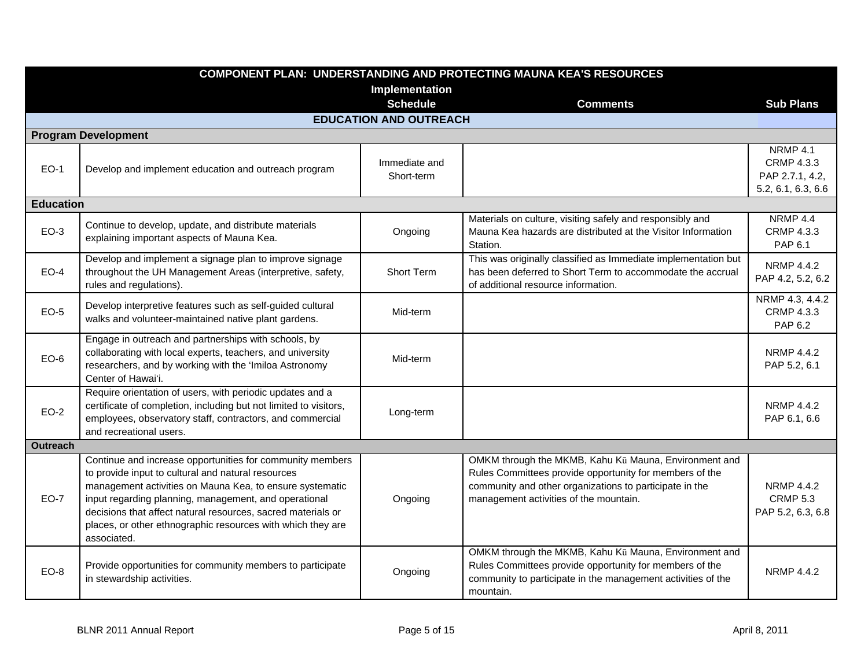| <b>COMPONENT PLAN: UNDERSTANDING AND PROTECTING MAUNA KEA'S RESOURCES</b> |                                                                                                                                                                                                                                                                                                                                                                                    |                               |                                                                                                                                                                                                                       |                                                                        |
|---------------------------------------------------------------------------|------------------------------------------------------------------------------------------------------------------------------------------------------------------------------------------------------------------------------------------------------------------------------------------------------------------------------------------------------------------------------------|-------------------------------|-----------------------------------------------------------------------------------------------------------------------------------------------------------------------------------------------------------------------|------------------------------------------------------------------------|
|                                                                           |                                                                                                                                                                                                                                                                                                                                                                                    | Implementation                |                                                                                                                                                                                                                       |                                                                        |
|                                                                           |                                                                                                                                                                                                                                                                                                                                                                                    | <b>Schedule</b>               | <b>Comments</b>                                                                                                                                                                                                       | <b>Sub Plans</b>                                                       |
|                                                                           |                                                                                                                                                                                                                                                                                                                                                                                    | <b>EDUCATION AND OUTREACH</b> |                                                                                                                                                                                                                       |                                                                        |
|                                                                           | <b>Program Development</b>                                                                                                                                                                                                                                                                                                                                                         |                               |                                                                                                                                                                                                                       |                                                                        |
| $EO-1$                                                                    | Develop and implement education and outreach program                                                                                                                                                                                                                                                                                                                               | Immediate and<br>Short-term   |                                                                                                                                                                                                                       | <b>NRMP 4.1</b><br>CRMP 4.3.3<br>PAP 2.7.1, 4.2,<br>5.2, 6.1, 6.3, 6.6 |
| <b>Education</b>                                                          |                                                                                                                                                                                                                                                                                                                                                                                    |                               |                                                                                                                                                                                                                       |                                                                        |
| $EO-3$                                                                    | Continue to develop, update, and distribute materials<br>explaining important aspects of Mauna Kea.                                                                                                                                                                                                                                                                                | Ongoing                       | Materials on culture, visiting safely and responsibly and<br>Mauna Kea hazards are distributed at the Visitor Information<br>Station.                                                                                 | <b>NRMP 4.4</b><br><b>CRMP 4.3.3</b><br>PAP 6.1                        |
| $EO-4$                                                                    | Develop and implement a signage plan to improve signage<br>throughout the UH Management Areas (interpretive, safety,<br>rules and regulations).                                                                                                                                                                                                                                    | Short Term                    | This was originally classified as Immediate implementation but<br>has been deferred to Short Term to accommodate the accrual<br>of additional resource information.                                                   | <b>NRMP 4.4.2</b><br>PAP 4.2, 5.2, 6.2                                 |
| $EO-5$                                                                    | Develop interpretive features such as self-guided cultural<br>walks and volunteer-maintained native plant gardens.                                                                                                                                                                                                                                                                 | Mid-term                      |                                                                                                                                                                                                                       | NRMP 4.3, 4.4.2<br>CRMP 4.3.3<br>PAP 6.2                               |
| $EO-6$                                                                    | Engage in outreach and partnerships with schools, by<br>collaborating with local experts, teachers, and university<br>researchers, and by working with the 'Imiloa Astronomy<br>Center of Hawai'i.                                                                                                                                                                                 | Mid-term                      |                                                                                                                                                                                                                       | <b>NRMP 4.4.2</b><br>PAP 5.2, 6.1                                      |
| $EO-2$                                                                    | Require orientation of users, with periodic updates and a<br>certificate of completion, including but not limited to visitors,<br>employees, observatory staff, contractors, and commercial<br>and recreational users.                                                                                                                                                             | Long-term                     |                                                                                                                                                                                                                       | <b>NRMP 4.4.2</b><br>PAP 6.1, 6.6                                      |
| <b>Outreach</b>                                                           |                                                                                                                                                                                                                                                                                                                                                                                    |                               |                                                                                                                                                                                                                       |                                                                        |
| $EO-7$                                                                    | Continue and increase opportunities for community members<br>to provide input to cultural and natural resources<br>management activities on Mauna Kea, to ensure systematic<br>input regarding planning, management, and operational<br>decisions that affect natural resources, sacred materials or<br>places, or other ethnographic resources with which they are<br>associated. | Ongoing                       | OMKM through the MKMB, Kahu Kū Mauna, Environment and<br>Rules Committees provide opportunity for members of the<br>community and other organizations to participate in the<br>management activities of the mountain. | <b>NRMP 4.4.2</b><br><b>CRMP 5.3</b><br>PAP 5.2, 6.3, 6.8              |
| $EO-8$                                                                    | Provide opportunities for community members to participate<br>in stewardship activities.                                                                                                                                                                                                                                                                                           | Ongoing                       | OMKM through the MKMB, Kahu Kū Mauna, Environment and<br>Rules Committees provide opportunity for members of the<br>community to participate in the management activities of the<br>mountain.                         | <b>NRMP 4.4.2</b>                                                      |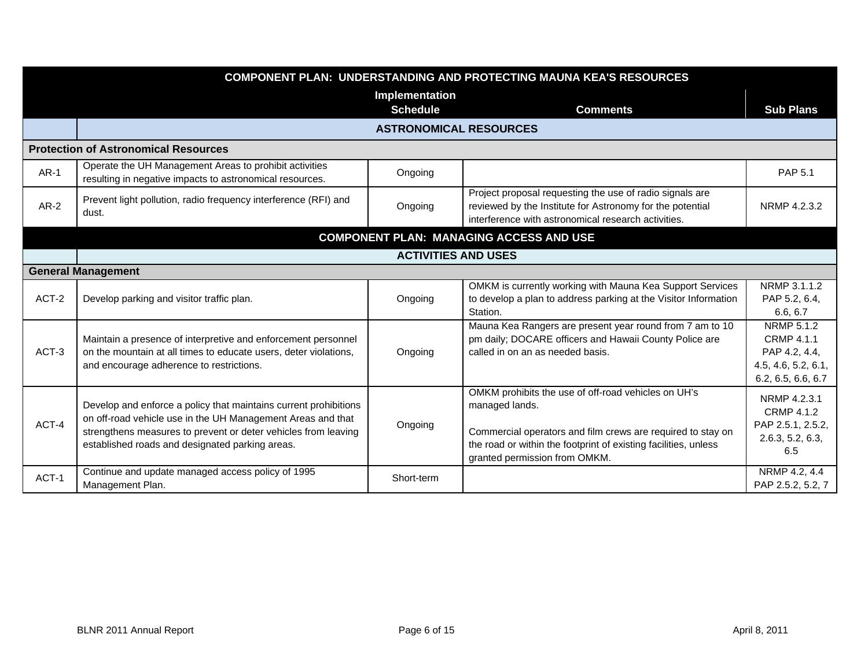|        | <b>COMPONENT PLAN: UNDERSTANDING AND PROTECTING MAUNA KEA'S RESOURCES</b>                                                                                                                                                                            |                               |                                                                                                                                                                                                                                          |                                                                                                      |  |
|--------|------------------------------------------------------------------------------------------------------------------------------------------------------------------------------------------------------------------------------------------------------|-------------------------------|------------------------------------------------------------------------------------------------------------------------------------------------------------------------------------------------------------------------------------------|------------------------------------------------------------------------------------------------------|--|
|        |                                                                                                                                                                                                                                                      | Implementation                |                                                                                                                                                                                                                                          |                                                                                                      |  |
|        |                                                                                                                                                                                                                                                      | <b>Schedule</b>               | <b>Comments</b>                                                                                                                                                                                                                          | <b>Sub Plans</b>                                                                                     |  |
|        |                                                                                                                                                                                                                                                      | <b>ASTRONOMICAL RESOURCES</b> |                                                                                                                                                                                                                                          |                                                                                                      |  |
|        | <b>Protection of Astronomical Resources</b>                                                                                                                                                                                                          |                               |                                                                                                                                                                                                                                          |                                                                                                      |  |
| $AR-1$ | Operate the UH Management Areas to prohibit activities<br>resulting in negative impacts to astronomical resources.                                                                                                                                   | Ongoing                       |                                                                                                                                                                                                                                          | <b>PAP 5.1</b>                                                                                       |  |
| $AR-2$ | Prevent light pollution, radio frequency interference (RFI) and<br>dust.                                                                                                                                                                             | Ongoing                       | Project proposal requesting the use of radio signals are<br>reviewed by the Institute for Astronomy for the potential<br>interference with astronomical research activities.                                                             | NRMP 4.2.3.2                                                                                         |  |
|        | <b>COMPONENT PLAN: MANAGING ACCESS AND USE</b>                                                                                                                                                                                                       |                               |                                                                                                                                                                                                                                          |                                                                                                      |  |
|        |                                                                                                                                                                                                                                                      | <b>ACTIVITIES AND USES</b>    |                                                                                                                                                                                                                                          |                                                                                                      |  |
|        | <b>General Management</b>                                                                                                                                                                                                                            |                               |                                                                                                                                                                                                                                          |                                                                                                      |  |
| ACT-2  | Develop parking and visitor traffic plan.                                                                                                                                                                                                            | Ongoing                       | OMKM is currently working with Mauna Kea Support Services<br>to develop a plan to address parking at the Visitor Information<br>Station.                                                                                                 | NRMP 3.1.1.2<br>PAP 5.2, 6.4,<br>6.6, 6.7                                                            |  |
| ACT-3  | Maintain a presence of interpretive and enforcement personnel<br>on the mountain at all times to educate users, deter violations,<br>and encourage adherence to restrictions.                                                                        | Ongoing                       | Mauna Kea Rangers are present year round from 7 am to 10<br>pm daily; DOCARE officers and Hawaii County Police are<br>called in on an as needed basis.                                                                                   | <b>NRMP 5.1.2</b><br><b>CRMP 4.1.1</b><br>PAP 4.2, 4.4,<br>4.5, 4.6, 5.2, 6.1,<br>6.2, 6.5, 6.6, 6.7 |  |
| ACT-4  | Develop and enforce a policy that maintains current prohibitions<br>on off-road vehicle use in the UH Management Areas and that<br>strengthens measures to prevent or deter vehicles from leaving<br>established roads and designated parking areas. | Ongoing                       | OMKM prohibits the use of off-road vehicles on UH's<br>managed lands.<br>Commercial operators and film crews are required to stay on<br>the road or within the footprint of existing facilities, unless<br>granted permission from OMKM. | NRMP 4.2.3.1<br><b>CRMP 4.1.2</b><br>PAP 2.5.1, 2.5.2,<br>2.6.3, 5.2, 6.3,<br>6.5                    |  |
| ACT-1  | Continue and update managed access policy of 1995<br>Management Plan.                                                                                                                                                                                | Short-term                    |                                                                                                                                                                                                                                          | NRMP 4.2, 4.4<br>PAP 2.5.2, 5.2, 7                                                                   |  |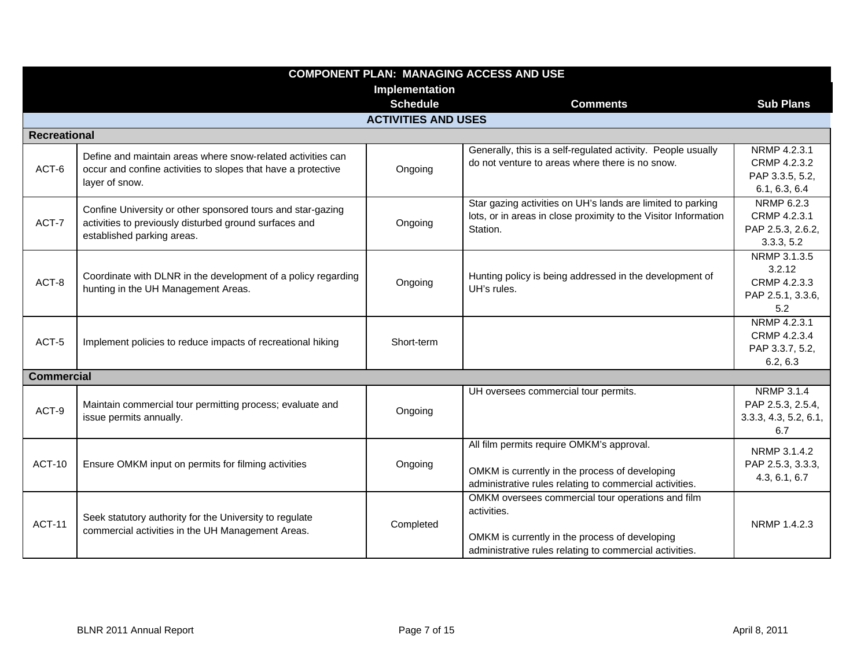| <b>COMPONENT PLAN: MANAGING ACCESS AND USE</b> |                                                                                                                                                     |                            |                                                                                                                                                                               |                                                                        |
|------------------------------------------------|-----------------------------------------------------------------------------------------------------------------------------------------------------|----------------------------|-------------------------------------------------------------------------------------------------------------------------------------------------------------------------------|------------------------------------------------------------------------|
|                                                |                                                                                                                                                     | Implementation             |                                                                                                                                                                               |                                                                        |
|                                                |                                                                                                                                                     | <b>Schedule</b>            | <b>Comments</b>                                                                                                                                                               | <b>Sub Plans</b>                                                       |
|                                                |                                                                                                                                                     | <b>ACTIVITIES AND USES</b> |                                                                                                                                                                               |                                                                        |
| <b>Recreational</b>                            |                                                                                                                                                     |                            |                                                                                                                                                                               |                                                                        |
| ACT-6                                          | Define and maintain areas where snow-related activities can<br>occur and confine activities to slopes that have a protective<br>layer of snow.      | Ongoing                    | Generally, this is a self-regulated activity. People usually<br>do not venture to areas where there is no snow.                                                               | NRMP 4.2.3.1<br>CRMP 4.2.3.2<br>PAP 3.3.5, 5.2,<br>6.1, 6.3, 6.4       |
| ACT-7                                          | Confine University or other sponsored tours and star-gazing<br>activities to previously disturbed ground surfaces and<br>established parking areas. | Ongoing                    | Star gazing activities on UH's lands are limited to parking<br>lots, or in areas in close proximity to the Visitor Information<br>Station.                                    | <b>NRMP 6.2.3</b><br>CRMP 4.2.3.1<br>PAP 2.5.3, 2.6.2,<br>3.3.3, 5.2   |
| ACT-8                                          | Coordinate with DLNR in the development of a policy regarding<br>hunting in the UH Management Areas.                                                | Ongoing                    | Hunting policy is being addressed in the development of<br>UH's rules.                                                                                                        | NRMP 3.1.3.5<br>3.2.12<br>CRMP 4.2.3.3<br>PAP 2.5.1, 3.3.6,<br>5.2     |
| ACT-5                                          | Implement policies to reduce impacts of recreational hiking                                                                                         | Short-term                 |                                                                                                                                                                               | NRMP 4.2.3.1<br>CRMP 4.2.3.4<br>PAP 3.3.7, 5.2,<br>6.2, 6.3            |
| <b>Commercial</b>                              |                                                                                                                                                     |                            |                                                                                                                                                                               |                                                                        |
| ACT-9                                          | Maintain commercial tour permitting process; evaluate and<br>issue permits annually.                                                                | Ongoing                    | UH oversees commercial tour permits.                                                                                                                                          | <b>NRMP 3.1.4</b><br>PAP 2.5.3, 2.5.4,<br>3.3.3, 4.3, 5.2, 6.1,<br>6.7 |
| <b>ACT-10</b>                                  | Ensure OMKM input on permits for filming activities                                                                                                 | Ongoing                    | All film permits require OMKM's approval.<br>OMKM is currently in the process of developing<br>administrative rules relating to commercial activities.                        | NRMP 3.1.4.2<br>PAP 2.5.3, 3.3.3,<br>4.3, 6.1, 6.7                     |
| <b>ACT-11</b>                                  | Seek statutory authority for the University to regulate<br>commercial activities in the UH Management Areas.                                        | Completed                  | OMKM oversees commercial tour operations and film<br>activities.<br>OMKM is currently in the process of developing<br>administrative rules relating to commercial activities. | NRMP 1.4.2.3                                                           |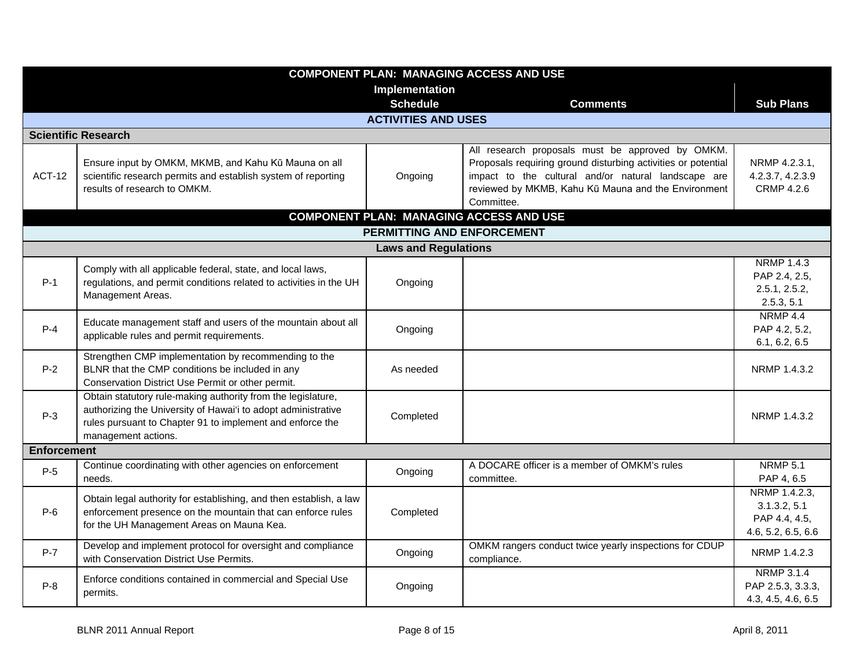|                    | <b>COMPONENT PLAN: MANAGING ACCESS AND USE</b>                                                                                                                                                                    |                             |                                                                                                                                                                                                                                               |                                                                      |  |
|--------------------|-------------------------------------------------------------------------------------------------------------------------------------------------------------------------------------------------------------------|-----------------------------|-----------------------------------------------------------------------------------------------------------------------------------------------------------------------------------------------------------------------------------------------|----------------------------------------------------------------------|--|
|                    |                                                                                                                                                                                                                   | Implementation              |                                                                                                                                                                                                                                               |                                                                      |  |
|                    |                                                                                                                                                                                                                   | <b>Schedule</b>             | <b>Comments</b>                                                                                                                                                                                                                               | <b>Sub Plans</b>                                                     |  |
|                    |                                                                                                                                                                                                                   | <b>ACTIVITIES AND USES</b>  |                                                                                                                                                                                                                                               |                                                                      |  |
|                    | <b>Scientific Research</b>                                                                                                                                                                                        |                             |                                                                                                                                                                                                                                               |                                                                      |  |
| <b>ACT-12</b>      | Ensure input by OMKM, MKMB, and Kahu Kū Mauna on all<br>scientific research permits and establish system of reporting<br>results of research to OMKM.                                                             | Ongoing                     | All research proposals must be approved by OMKM.<br>Proposals requiring ground disturbing activities or potential<br>impact to the cultural and/or natural landscape are<br>reviewed by MKMB, Kahu Kū Mauna and the Environment<br>Committee. | NRMP 4.2.3.1,<br>4.2.3.7, 4.2.3.9<br><b>CRMP 4.2.6</b>               |  |
|                    |                                                                                                                                                                                                                   |                             | <b>COMPONENT PLAN: MANAGING ACCESS AND USE</b>                                                                                                                                                                                                |                                                                      |  |
|                    |                                                                                                                                                                                                                   | PERMITTING AND ENFORCEMENT  |                                                                                                                                                                                                                                               |                                                                      |  |
|                    |                                                                                                                                                                                                                   | <b>Laws and Regulations</b> |                                                                                                                                                                                                                                               |                                                                      |  |
| $P-1$              | Comply with all applicable federal, state, and local laws,<br>regulations, and permit conditions related to activities in the UH<br>Management Areas.                                                             | Ongoing                     |                                                                                                                                                                                                                                               | <b>NRMP 1.4.3</b><br>PAP 2.4, 2.5,<br>2.5.1, 2.5.2,<br>2.5.3, 5.1    |  |
| $P-4$              | Educate management staff and users of the mountain about all<br>applicable rules and permit requirements.                                                                                                         | Ongoing                     |                                                                                                                                                                                                                                               | <b>NRMP 4.4</b><br>PAP 4.2, 5.2,<br>6.1, 6.2, 6.5                    |  |
| $P-2$              | Strengthen CMP implementation by recommending to the<br>BLNR that the CMP conditions be included in any<br>Conservation District Use Permit or other permit.                                                      | As needed                   |                                                                                                                                                                                                                                               | NRMP 1.4.3.2                                                         |  |
| $P-3$              | Obtain statutory rule-making authority from the legislature,<br>authorizing the University of Hawai'i to adopt administrative<br>rules pursuant to Chapter 91 to implement and enforce the<br>management actions. | Completed                   |                                                                                                                                                                                                                                               | NRMP 1.4.3.2                                                         |  |
| <b>Enforcement</b> |                                                                                                                                                                                                                   |                             |                                                                                                                                                                                                                                               |                                                                      |  |
| $P-5$              | Continue coordinating with other agencies on enforcement<br>needs.                                                                                                                                                | Ongoing                     | A DOCARE officer is a member of OMKM's rules<br>committee.                                                                                                                                                                                    | <b>NRMP 5.1</b><br>PAP 4, 6.5                                        |  |
| $P-6$              | Obtain legal authority for establishing, and then establish, a law<br>enforcement presence on the mountain that can enforce rules<br>for the UH Management Areas on Mauna Kea.                                    | Completed                   |                                                                                                                                                                                                                                               | NRMP 1.4.2.3,<br>3.1.3.2, 5.1<br>PAP 4.4, 4.5,<br>4.6, 5.2, 6.5, 6.6 |  |
| $P-7$              | Develop and implement protocol for oversight and compliance<br>with Conservation District Use Permits.                                                                                                            | Ongoing                     | OMKM rangers conduct twice yearly inspections for CDUP<br>compliance.                                                                                                                                                                         | NRMP 1.4.2.3                                                         |  |
| $P-8$              | Enforce conditions contained in commercial and Special Use<br>permits.                                                                                                                                            | Ongoing                     |                                                                                                                                                                                                                                               | <b>NRMP 3.1.4</b><br>PAP 2.5.3, 3.3.3,<br>4.3, 4.5, 4.6, 6.5         |  |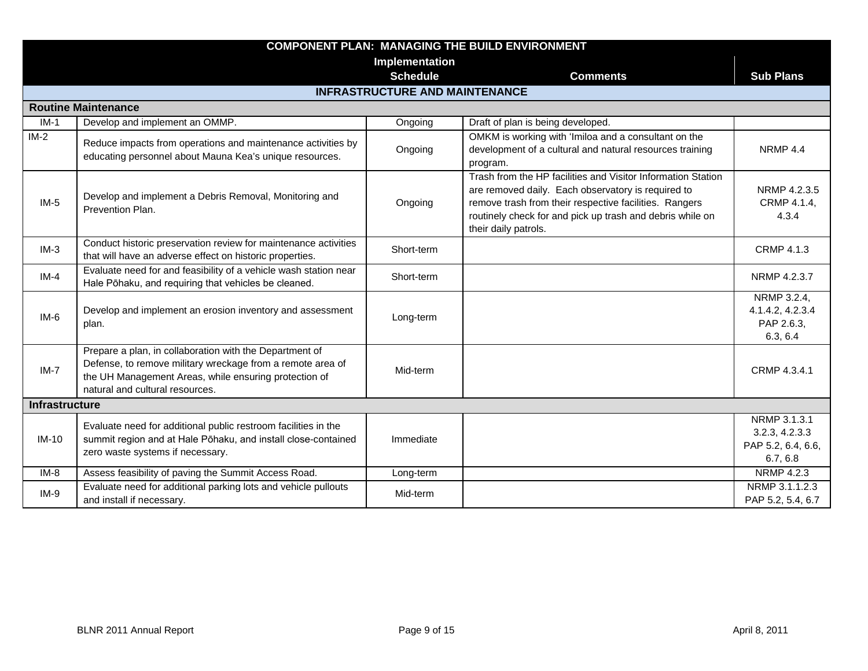| <b>COMPONENT PLAN: MANAGING THE BUILD ENVIRONMENT</b> |                                                                                                                                                                                                                   |                                       |                                                                                                                                                                                                                                                                   |                                                                  |  |
|-------------------------------------------------------|-------------------------------------------------------------------------------------------------------------------------------------------------------------------------------------------------------------------|---------------------------------------|-------------------------------------------------------------------------------------------------------------------------------------------------------------------------------------------------------------------------------------------------------------------|------------------------------------------------------------------|--|
|                                                       |                                                                                                                                                                                                                   | Implementation                        |                                                                                                                                                                                                                                                                   |                                                                  |  |
|                                                       |                                                                                                                                                                                                                   | <b>Schedule</b>                       | <b>Comments</b>                                                                                                                                                                                                                                                   | <b>Sub Plans</b>                                                 |  |
|                                                       |                                                                                                                                                                                                                   | <b>INFRASTRUCTURE AND MAINTENANCE</b> |                                                                                                                                                                                                                                                                   |                                                                  |  |
|                                                       | <b>Routine Maintenance</b>                                                                                                                                                                                        |                                       |                                                                                                                                                                                                                                                                   |                                                                  |  |
| $IM-1$                                                | Develop and implement an OMMP.                                                                                                                                                                                    | Ongoing                               | Draft of plan is being developed.                                                                                                                                                                                                                                 |                                                                  |  |
| $IM-2$                                                | Reduce impacts from operations and maintenance activities by<br>educating personnel about Mauna Kea's unique resources.                                                                                           | Ongoing                               | OMKM is working with 'Imiloa and a consultant on the<br>development of a cultural and natural resources training<br>program.                                                                                                                                      | NRMP 4.4                                                         |  |
| $IM-5$                                                | Develop and implement a Debris Removal, Monitoring and<br>Prevention Plan.                                                                                                                                        | Ongoing                               | Trash from the HP facilities and Visitor Information Station<br>are removed daily. Each observatory is required to<br>remove trash from their respective facilities. Rangers<br>routinely check for and pick up trash and debris while on<br>their daily patrols. | NRMP 4.2.3.5<br>CRMP 4.1.4,<br>4.3.4                             |  |
| $IM-3$                                                | Conduct historic preservation review for maintenance activities<br>that will have an adverse effect on historic properties.                                                                                       | Short-term                            |                                                                                                                                                                                                                                                                   | <b>CRMP 4.1.3</b>                                                |  |
| $IM-4$                                                | Evaluate need for and feasibility of a vehicle wash station near<br>Hale Pōhaku, and requiring that vehicles be cleaned.                                                                                          | Short-term                            |                                                                                                                                                                                                                                                                   | NRMP 4.2.3.7                                                     |  |
| $IM-6$                                                | Develop and implement an erosion inventory and assessment<br>plan.                                                                                                                                                | Long-term                             |                                                                                                                                                                                                                                                                   | NRMP 3.2.4,<br>4.1.4.2, 4.2.3.4<br>PAP 2.6.3,<br>6.3, 6.4        |  |
| $IM-7$                                                | Prepare a plan, in collaboration with the Department of<br>Defense, to remove military wreckage from a remote area of<br>the UH Management Areas, while ensuring protection of<br>natural and cultural resources. | Mid-term                              |                                                                                                                                                                                                                                                                   | CRMP 4.3.4.1                                                     |  |
| <b>Infrastructure</b>                                 |                                                                                                                                                                                                                   |                                       |                                                                                                                                                                                                                                                                   |                                                                  |  |
| $IM-10$                                               | Evaluate need for additional public restroom facilities in the<br>summit region and at Hale Pōhaku, and install close-contained<br>zero waste systems if necessary.                                               | Immediate                             |                                                                                                                                                                                                                                                                   | NRMP 3.1.3.1<br>3.2.3, 4.2.3.3<br>PAP 5.2, 6.4, 6.6,<br>6.7, 6.8 |  |
| $IM-8$                                                | Assess feasibility of paving the Summit Access Road.                                                                                                                                                              | Long-term                             |                                                                                                                                                                                                                                                                   | <b>NRMP 4.2.3</b>                                                |  |
| $IM-9$                                                | Evaluate need for additional parking lots and vehicle pullouts<br>and install if necessary.                                                                                                                       | Mid-term                              |                                                                                                                                                                                                                                                                   | NRMP 3.1.1.2.3<br>PAP 5.2, 5.4, 6.7                              |  |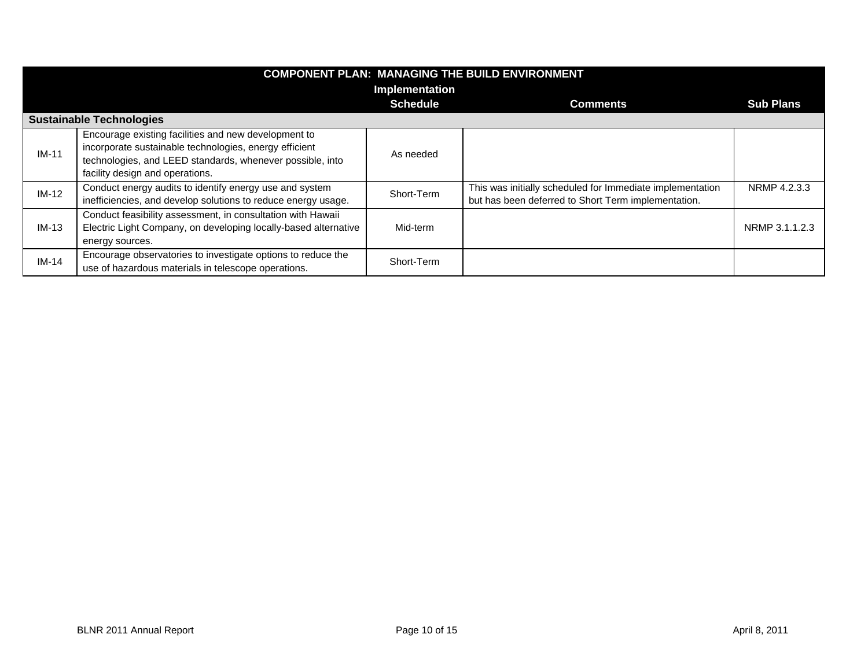|         | <b>COMPONENT PLAN: MANAGING THE BUILD ENVIRONMENT</b><br>Implementation                                                                                                                                        |                 |                                                                                                                  |                  |  |
|---------|----------------------------------------------------------------------------------------------------------------------------------------------------------------------------------------------------------------|-----------------|------------------------------------------------------------------------------------------------------------------|------------------|--|
|         |                                                                                                                                                                                                                | <b>Schedule</b> | <b>Comments</b>                                                                                                  | <b>Sub Plans</b> |  |
|         | <b>Sustainable Technologies</b>                                                                                                                                                                                |                 |                                                                                                                  |                  |  |
| $IM-11$ | Encourage existing facilities and new development to<br>incorporate sustainable technologies, energy efficient<br>technologies, and LEED standards, whenever possible, into<br>facility design and operations. | As needed       |                                                                                                                  |                  |  |
| $IM-12$ | Conduct energy audits to identify energy use and system<br>inefficiencies, and develop solutions to reduce energy usage.                                                                                       | Short-Term      | This was initially scheduled for Immediate implementation<br>but has been deferred to Short Term implementation. | NRMP 4.2.3.3     |  |
| $IM-13$ | Conduct feasibility assessment, in consultation with Hawaii<br>Electric Light Company, on developing locally-based alternative<br>energy sources.                                                              | Mid-term        |                                                                                                                  | NRMP 3.1.1.2.3   |  |
| $IM-14$ | Encourage observatories to investigate options to reduce the<br>use of hazardous materials in telescope operations.                                                                                            | Short-Term      |                                                                                                                  |                  |  |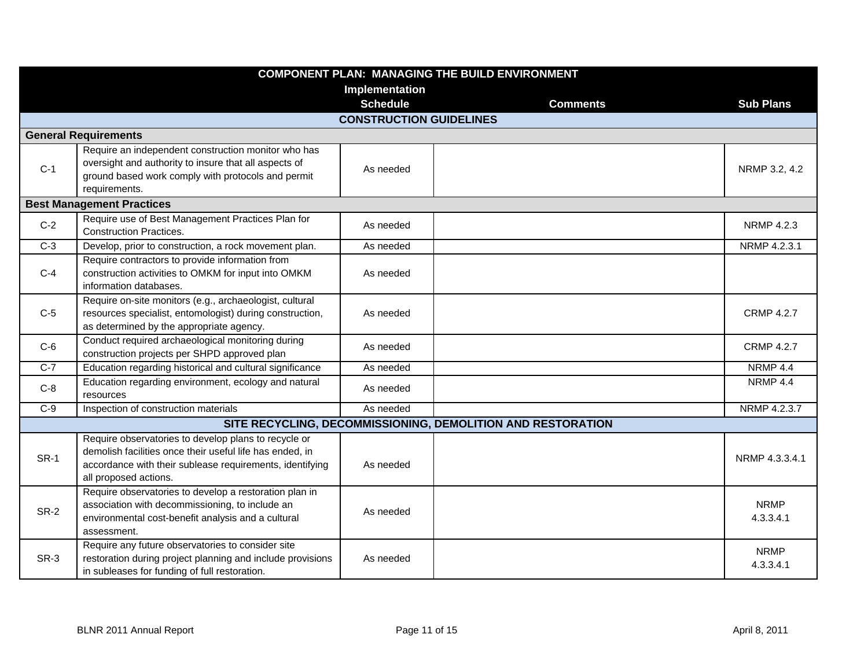| <b>COMPONENT PLAN: MANAGING THE BUILD ENVIRONMENT</b> |                                                                                                                                                                                                       |                                |                                                             |                          |  |
|-------------------------------------------------------|-------------------------------------------------------------------------------------------------------------------------------------------------------------------------------------------------------|--------------------------------|-------------------------------------------------------------|--------------------------|--|
|                                                       | Implementation                                                                                                                                                                                        |                                |                                                             |                          |  |
|                                                       |                                                                                                                                                                                                       | <b>Schedule</b>                | <b>Comments</b>                                             | <b>Sub Plans</b>         |  |
|                                                       |                                                                                                                                                                                                       | <b>CONSTRUCTION GUIDELINES</b> |                                                             |                          |  |
|                                                       | <b>General Requirements</b>                                                                                                                                                                           |                                |                                                             |                          |  |
| $C-1$                                                 | Require an independent construction monitor who has<br>oversight and authority to insure that all aspects of<br>ground based work comply with protocols and permit<br>requirements.                   | As needed                      |                                                             | NRMP 3.2, 4.2            |  |
|                                                       | <b>Best Management Practices</b>                                                                                                                                                                      |                                |                                                             |                          |  |
| $C-2$                                                 | Require use of Best Management Practices Plan for<br><b>Construction Practices.</b>                                                                                                                   | As needed                      |                                                             | NRMP 4.2.3               |  |
| $C-3$                                                 | Develop, prior to construction, a rock movement plan.                                                                                                                                                 | As needed                      |                                                             | NRMP 4.2.3.1             |  |
| $C-4$                                                 | Require contractors to provide information from<br>construction activities to OMKM for input into OMKM<br>information databases.                                                                      | As needed                      |                                                             |                          |  |
| $C-5$                                                 | Require on-site monitors (e.g., archaeologist, cultural<br>resources specialist, entomologist) during construction,<br>as determined by the appropriate agency.                                       | As needed                      |                                                             | <b>CRMP 4.2.7</b>        |  |
| $C-6$                                                 | Conduct required archaeological monitoring during<br>construction projects per SHPD approved plan                                                                                                     | As needed                      |                                                             | <b>CRMP 4.2.7</b>        |  |
| $C-7$                                                 | Education regarding historical and cultural significance                                                                                                                                              | As needed                      |                                                             | NRMP 4.4                 |  |
| $C-8$                                                 | Education regarding environment, ecology and natural<br>resources                                                                                                                                     | As needed                      |                                                             | NRMP 4.4                 |  |
| $C-9$                                                 | Inspection of construction materials                                                                                                                                                                  | As needed                      |                                                             | NRMP 4.2.3.7             |  |
|                                                       |                                                                                                                                                                                                       |                                | SITE RECYCLING, DECOMMISSIONING, DEMOLITION AND RESTORATION |                          |  |
| SR-1                                                  | Require observatories to develop plans to recycle or<br>demolish facilities once their useful life has ended, in<br>accordance with their sublease requirements, identifying<br>all proposed actions. | As needed                      |                                                             | NRMP 4.3.3.4.1           |  |
| <b>SR-2</b>                                           | Require observatories to develop a restoration plan in<br>association with decommissioning, to include an<br>environmental cost-benefit analysis and a cultural<br>assessment.                        | As needed                      |                                                             | <b>NRMP</b><br>4.3.3.4.1 |  |
| SR-3                                                  | Require any future observatories to consider site<br>restoration during project planning and include provisions<br>in subleases for funding of full restoration.                                      | As needed                      |                                                             | <b>NRMP</b><br>4.3.3.4.1 |  |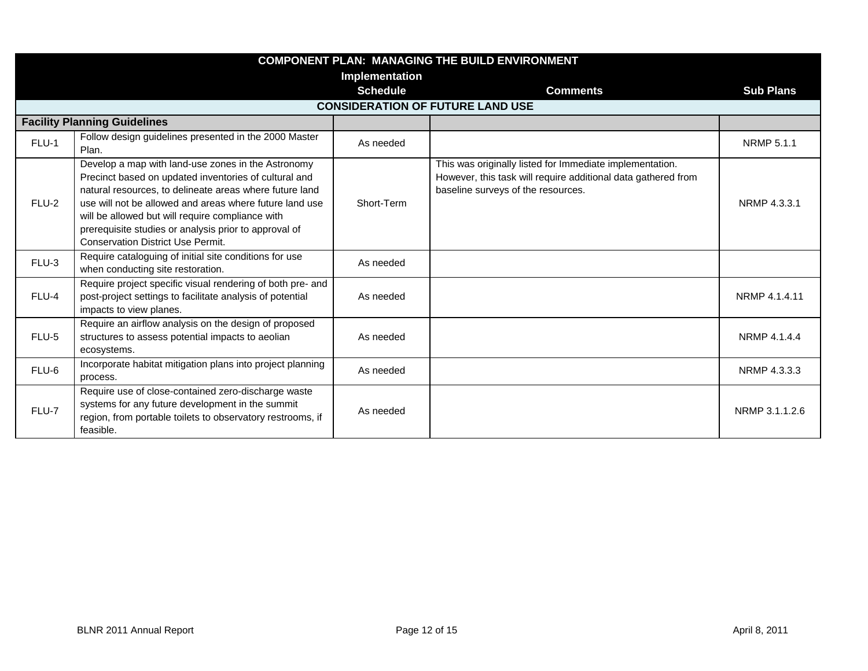|       | <b>COMPONENT PLAN: MANAGING THE BUILD ENVIRONMENT</b>                                                                                                                                                                                                                                                                                                                                      |                 |                                                                                                                                                                 |                   |  |
|-------|--------------------------------------------------------------------------------------------------------------------------------------------------------------------------------------------------------------------------------------------------------------------------------------------------------------------------------------------------------------------------------------------|-----------------|-----------------------------------------------------------------------------------------------------------------------------------------------------------------|-------------------|--|
|       |                                                                                                                                                                                                                                                                                                                                                                                            | Implementation  |                                                                                                                                                                 |                   |  |
|       |                                                                                                                                                                                                                                                                                                                                                                                            | <b>Schedule</b> | <b>Comments</b>                                                                                                                                                 | <b>Sub Plans</b>  |  |
|       |                                                                                                                                                                                                                                                                                                                                                                                            |                 | <b>CONSIDERATION OF FUTURE LAND USE</b>                                                                                                                         |                   |  |
|       | <b>Facility Planning Guidelines</b>                                                                                                                                                                                                                                                                                                                                                        |                 |                                                                                                                                                                 |                   |  |
| FLU-1 | Follow design guidelines presented in the 2000 Master<br>Plan.                                                                                                                                                                                                                                                                                                                             | As needed       |                                                                                                                                                                 | <b>NRMP 5.1.1</b> |  |
| FLU-2 | Develop a map with land-use zones in the Astronomy<br>Precinct based on updated inventories of cultural and<br>natural resources, to delineate areas where future land<br>use will not be allowed and areas where future land use<br>will be allowed but will require compliance with<br>prerequisite studies or analysis prior to approval of<br><b>Conservation District Use Permit.</b> | Short-Term      | This was originally listed for Immediate implementation.<br>However, this task will require additional data gathered from<br>baseline surveys of the resources. | NRMP 4.3.3.1      |  |
| FLU-3 | Require cataloguing of initial site conditions for use<br>when conducting site restoration.                                                                                                                                                                                                                                                                                                | As needed       |                                                                                                                                                                 |                   |  |
| FLU-4 | Require project specific visual rendering of both pre- and<br>post-project settings to facilitate analysis of potential<br>impacts to view planes.                                                                                                                                                                                                                                         | As needed       |                                                                                                                                                                 | NRMP 4.1.4.11     |  |
| FLU-5 | Require an airflow analysis on the design of proposed<br>structures to assess potential impacts to aeolian<br>ecosystems.                                                                                                                                                                                                                                                                  | As needed       |                                                                                                                                                                 | NRMP 4.1.4.4      |  |
| FLU-6 | Incorporate habitat mitigation plans into project planning<br>process.                                                                                                                                                                                                                                                                                                                     | As needed       |                                                                                                                                                                 | NRMP 4.3.3.3      |  |
| FLU-7 | Require use of close-contained zero-discharge waste<br>systems for any future development in the summit<br>region, from portable toilets to observatory restrooms, if<br>feasible.                                                                                                                                                                                                         | As needed       |                                                                                                                                                                 | NRMP 3.1.1.2.6    |  |